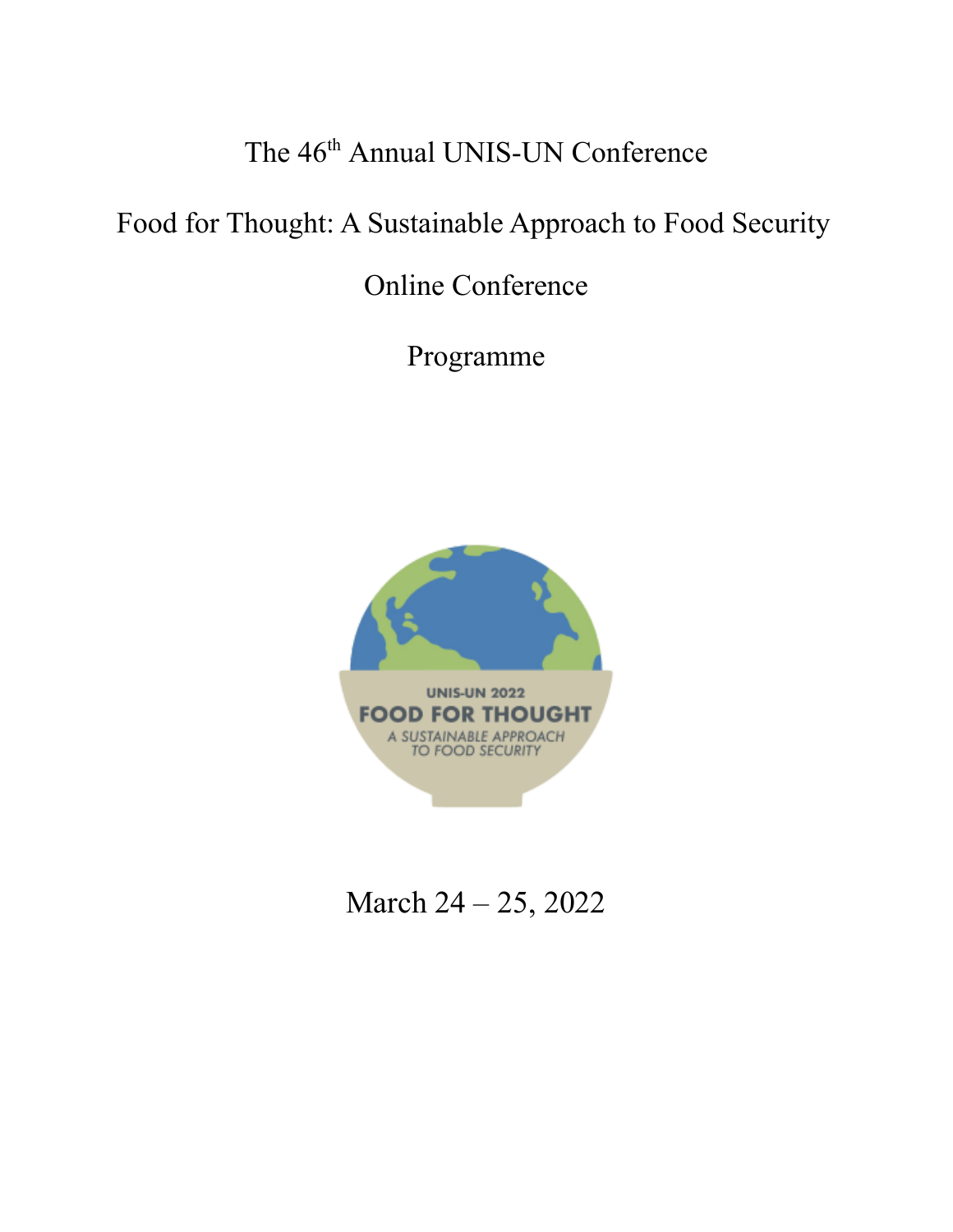# The 46<sup>th</sup> Annual UNIS-UN Conference

# Food for Thought: A Sustainable Approach to Food Security

# Online Conference

Programme



March 24 – 25, 2022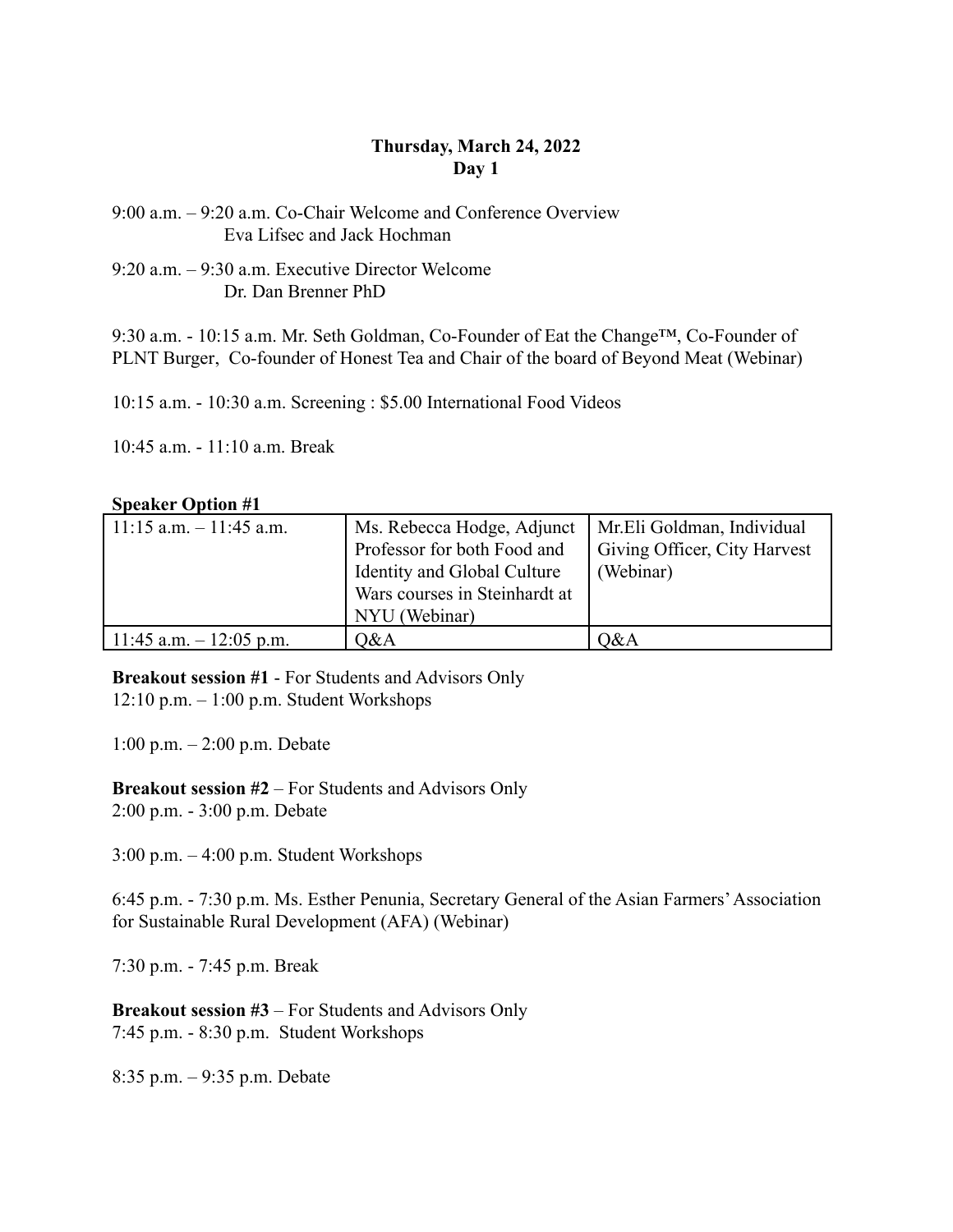### **Thursday, March 24, 2022 Day 1**

9:00 a.m. – 9:20 a.m. Co-Chair Welcome and Conference Overview Eva Lifsec and Jack Hochman

9:20 a.m. – 9:30 a.m. Executive Director Welcome Dr. Dan Brenner PhD

9:30 a.m. - 10:15 a.m. Mr. Seth Goldman, Co-Founder of [Eat the Change](https://eatthechange.com/)™, Co-Founder of [PLNT Burger](https://www.plntburger.com/), Co-founder of Honest Tea and Chair of the board of Beyond Meat (Webinar)

10:15 a.m. - 10:30 a.m. Screening : \$5.00 International Food Videos

10:45 a.m. - 11:10 a.m. Break

#### **Speaker Option #1**

| $11:15$ a.m. $-11:45$ a.m. | Ms. Rebecca Hodge, Adjunct<br>Professor for both Food and<br>Identity and Global Culture<br>Wars courses in Steinhardt at<br>NYU (Webinar) | Mr.Eli Goldman, Individual<br>Giving Officer, City Harvest<br>(Webinar) |
|----------------------------|--------------------------------------------------------------------------------------------------------------------------------------------|-------------------------------------------------------------------------|
| 11:45 a.m. $-12:05$ p.m.   | Q&A                                                                                                                                        | O&A                                                                     |

**Breakout session #1** - For Students and Advisors Only  $12:10$  p.m.  $-1:00$  p.m. Student Workshops

1:00 p.m. – 2:00 p.m. Debate

**Breakout session #2** – For Students and Advisors Only 2:00 p.m. - 3:00 p.m. Debate

3:00 p.m. – 4:00 p.m. Student Workshops

6:45 p.m. - 7:30 p.m. Ms. Esther Penunia, Secretary General of the Asian Farmers'Association for Sustainable Rural Development (AFA) (Webinar)

7:30 p.m. - 7:45 p.m. Break

**Breakout session #3** – For Students and Advisors Only 7:45 p.m. - 8:30 p.m. Student Workshops

8:35 p.m. – 9:35 p.m. Debate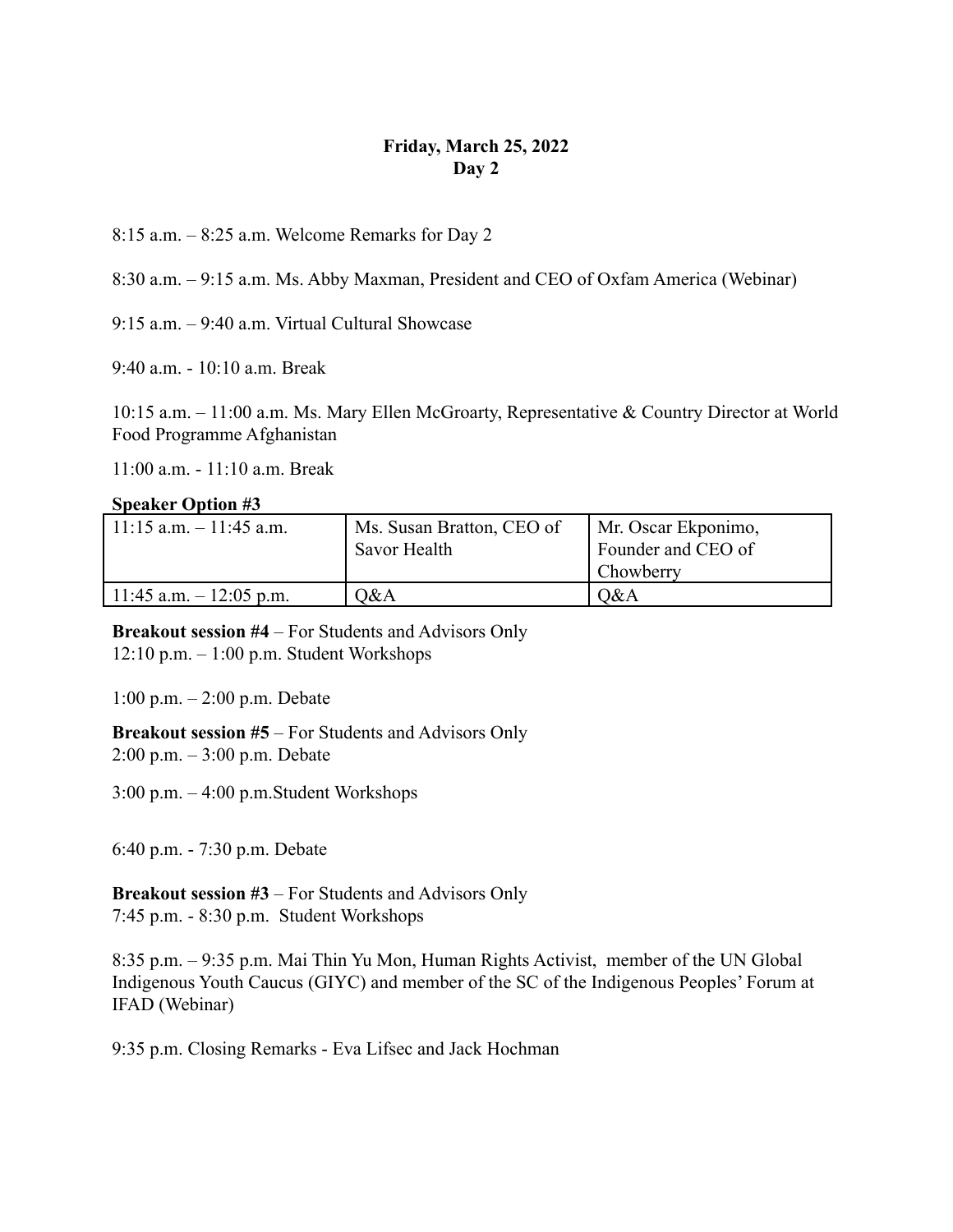### **Friday, March 25, 2022 Day 2**

8:15 a.m. – 8:25 a.m. Welcome Remarks for Day 2

8:30 a.m. – 9:15 a.m. Ms. Abby Maxman, President and CEO of Oxfam America (Webinar)

9:15 a.m. – 9:40 a.m. Virtual Cultural Showcase

9:40 a.m. - 10:10 a.m. Break

10:15 a.m. – 11:00 a.m. Ms. Mary Ellen McGroarty, Representative & Country Director at World Food Programme Afghanistan

11:00 a.m. - 11:10 a.m. Break

#### **Speaker Option #3**

| $11:15$ a.m. $-11:45$ a.m. | Ms. Susan Bratton, CEO of<br>Savor Health | Mr. Oscar Ekponimo,<br>Founder and CEO of<br><b>Chowberry</b> |
|----------------------------|-------------------------------------------|---------------------------------------------------------------|
| 11:45 a.m. $-$ 12:05 p.m.  | 0&A                                       | O&A                                                           |

**Breakout session #4** – For Students and Advisors Only 12:10 p.m. – 1:00 p.m. Student Workshops

1:00 p.m. – 2:00 p.m. Debate

**Breakout session #5** – For Students and Advisors Only 2:00 p.m. – 3:00 p.m. Debate

3:00 p.m. – 4:00 p.m.Student Workshops

6:40 p.m. - 7:30 p.m. Debate

**Breakout session #3** – For Students and Advisors Only 7:45 p.m. - 8:30 p.m. Student Workshops

8:35 p.m. – 9:35 p.m. Mai Thin Yu Mon, Human Rights Activist, member of the UN Global Indigenous Youth Caucus (GIYC) and member of the SC of the Indigenous Peoples' Forum at IFAD (Webinar)

9:35 p.m. Closing Remarks - Eva Lifsec and Jack Hochman